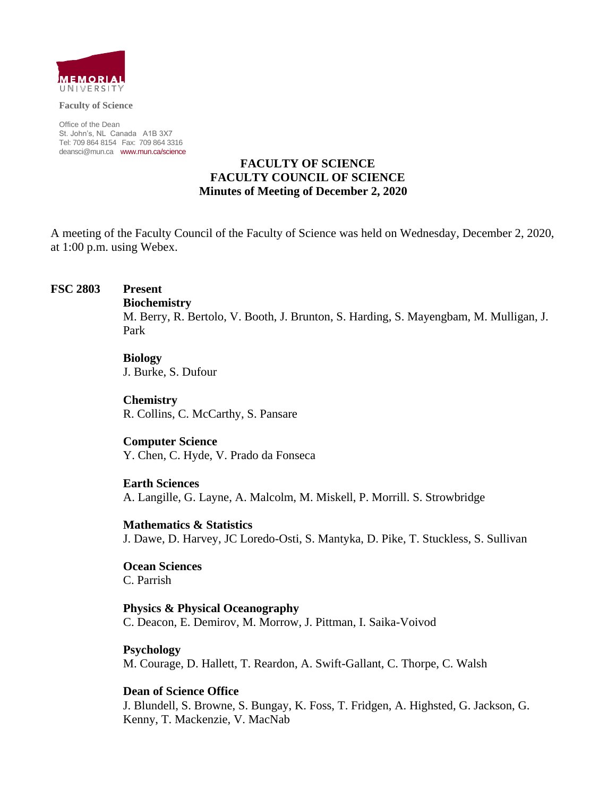

**Faculty of Science**

Office of the Dean St. John's, NL Canada A1B 3X7 Tel: 709 864 8154 Fax: 709 864 3316 [deansci@mun.ca](mailto:deansci@mun.ca) [www.mun.ca/science](http://www.mun.ca/science)

### **FACULTY OF SCIENCE FACULTY COUNCIL OF SCIENCE Minutes of Meeting of December 2, 2020**

A meeting of the Faculty Council of the Faculty of Science was held on Wednesday, December 2, 2020, at 1:00 p.m. using Webex.

#### **FSC 2803 Present**

#### **Biochemistry**

M. Berry, R. Bertolo, V. Booth, J. Brunton, S. Harding, S. Mayengbam, M. Mulligan, J. Park

### **Biology**

J. Burke, S. Dufour

**Chemistry** R. Collins, C. McCarthy, S. Pansare

**Computer Science** Y. Chen, C. Hyde, V. Prado da Fonseca

**Earth Sciences**

A. Langille, G. Layne, A. Malcolm, M. Miskell, P. Morrill. S. Strowbridge

**Mathematics & Statistics** J. Dawe, D. Harvey, JC Loredo-Osti, S. Mantyka, D. Pike, T. Stuckless, S. Sullivan

**Ocean Sciences** C. Parrish

**Physics & Physical Oceanography** C. Deacon, E. Demirov, M. Morrow, J. Pittman, I. Saika-Voivod

**Psychology** M. Courage, D. Hallett, T. Reardon, A. Swift-Gallant, C. Thorpe, C. Walsh

**Dean of Science Office**

J. Blundell, S. Browne, S. Bungay, K. Foss, T. Fridgen, A. Highsted, G. Jackson, G. Kenny, T. Mackenzie, V. MacNab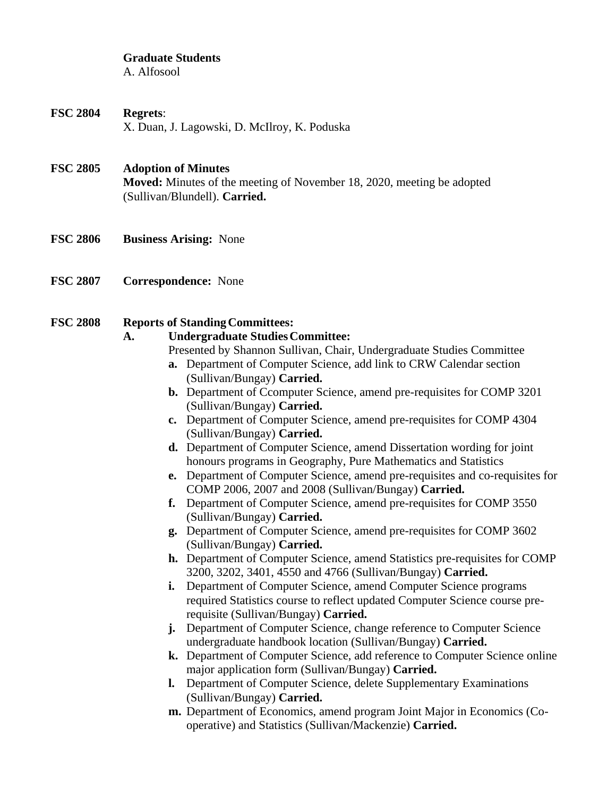# **Graduate Students**

A. Alfosool

**FSC 2804 Regrets**: X. Duan, J. Lagowski, D. McIlroy, K. Poduska

### **FSC 2805 Adoption of Minutes**

**Moved:** Minutes of the meeting of November 18, 2020, meeting be adopted (Sullivan/Blundell). **Carried.**

- **FSC 2806 Business Arising:** None
- **FSC 2807 Correspondence:** None

#### **FSC** 2808 **Reports of Standing Committees:**

### **A. Undergraduate StudiesCommittee:**

Presented by Shannon Sullivan, Chair, Undergraduate Studies Committee

- **a.** Department of Computer Science, add link to CRW Calendar section (Sullivan/Bungay) **Carried.**
- **b.** Department of Ccomputer Science, amend pre-requisites for COMP 3201 (Sullivan/Bungay) **Carried.**
- **c.** Department of Computer Science, amend pre-requisites for COMP 4304 (Sullivan/Bungay) **Carried.**
- **d.** Department of Computer Science, amend Dissertation wording for joint honours programs in Geography, Pure Mathematics and Statistics
- **e.** Department of Computer Science, amend pre-requisites and co-requisites for COMP 2006, 2007 and 2008 (Sullivan/Bungay) **Carried.**
- **f.** Department of Computer Science, amend pre-requisites for COMP 3550 (Sullivan/Bungay) **Carried.**
- **g.** Department of Computer Science, amend pre-requisites for COMP 3602 (Sullivan/Bungay) **Carried.**
- **h.** Department of Computer Science, amend Statistics pre-requisites for COMP 3200, 3202, 3401, 4550 and 4766 (Sullivan/Bungay) **Carried.**
- **i.** Department of Computer Science, amend Computer Science programs required Statistics course to reflect updated Computer Science course prerequisite (Sullivan/Bungay) **Carried.**
- **j.** Department of Computer Science, change reference to Computer Science undergraduate handbook location (Sullivan/Bungay) **Carried.**
- **k.** Department of Computer Science, add reference to Computer Science online major application form (Sullivan/Bungay) **Carried.**
- **l.** Department of Computer Science, delete Supplementary Examinations (Sullivan/Bungay) **Carried.**
- **m.** Department of Economics, amend program Joint Major in Economics (Cooperative) and Statistics (Sullivan/Mackenzie) **Carried.**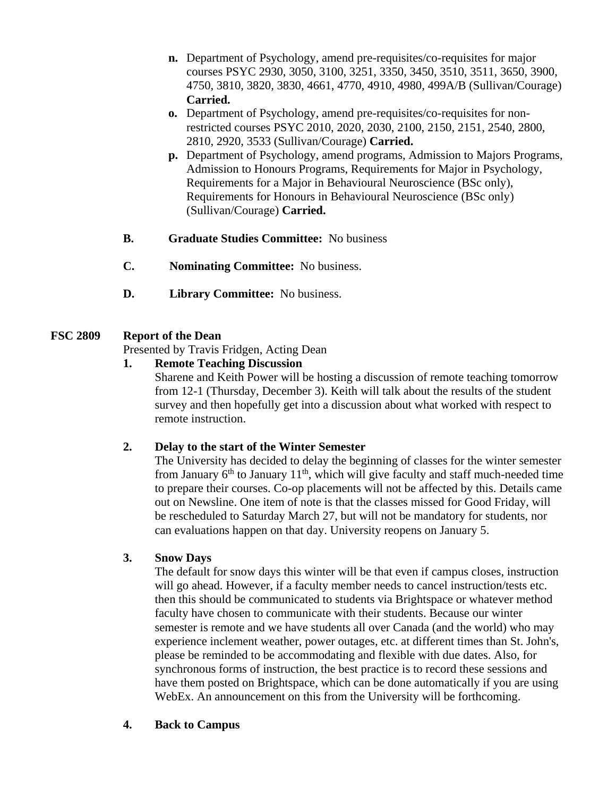- **n.** Department of Psychology, amend pre-requisites/co-requisites for major courses PSYC 2930, 3050, 3100, 3251, 3350, 3450, 3510, 3511, 3650, 3900, 4750, 3810, 3820, 3830, 4661, 4770, 4910, 4980, 499A/B (Sullivan/Courage) **Carried.**
- **o.** Department of Psychology, amend pre-requisites/co-requisites for nonrestricted courses PSYC 2010, 2020, 2030, 2100, 2150, 2151, 2540, 2800, 2810, 2920, 3533 (Sullivan/Courage) **Carried.**
- **p.** Department of Psychology, amend programs, Admission to Majors Programs, Admission to Honours Programs, Requirements for Major in Psychology, Requirements for a Major in Behavioural Neuroscience (BSc only), Requirements for Honours in Behavioural Neuroscience (BSc only) (Sullivan/Courage) **Carried.**
- **B. Graduate Studies Committee:** No business
- **C. Nominating Committee:** No business.
- **D. Library Committee:** No business.

# **FSC 2809 Report of the Dean**

Presented by Travis Fridgen, Acting Dean

## **1. Remote Teaching Discussion**

Sharene and Keith Power will be hosting a discussion of remote teaching tomorrow from 12-1 (Thursday, December 3). Keith will talk about the results of the student survey and then hopefully get into a discussion about what worked with respect to remote instruction.

### **2. Delay to the start of the Winter Semester**

The University has decided to delay the beginning of classes for the winter semester from January  $6<sup>th</sup>$  to January  $11<sup>th</sup>$ , which will give faculty and staff much-needed time to prepare their courses. Co-op placements will not be affected by this. Details came out on Newsline. One item of note is that the classes missed for Good Friday, will be rescheduled to Saturday March 27, but will not be mandatory for students, nor can evaluations happen on that day. University reopens on January 5.

# **3. Snow Days**

The default for snow days this winter will be that even if campus closes, instruction will go ahead. However, if a faculty member needs to cancel instruction/tests etc. then this should be communicated to students via Brightspace or whatever method faculty have chosen to communicate with their students. Because our winter semester is remote and we have students all over Canada (and the world) who may experience inclement weather, power outages, etc. at different times than St. John's, please be reminded to be accommodating and flexible with due dates. Also, for synchronous forms of instruction, the best practice is to record these sessions and have them posted on Brightspace, which can be done automatically if you are using WebEx. An announcement on this from the University will be forthcoming.

# **4. Back to Campus**